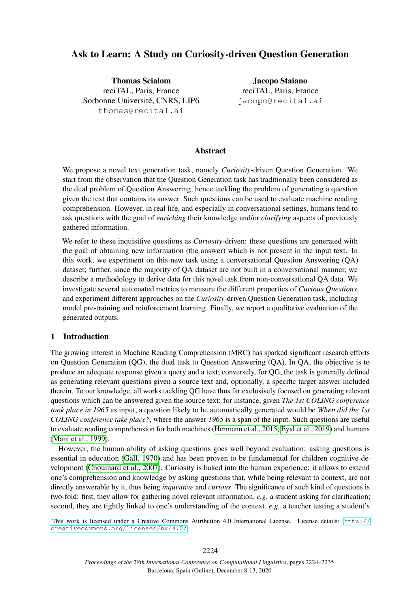# Ask to Learn: A Study on Curiosity-driven Question Generation

Thomas Scialom reciTAL, Paris, France Sorbonne Université, CNRS, LIP6 thomas@recital.ai

Jacopo Staiano reciTAL, Paris, France jacopo@recital.ai

#### Abstract

We propose a novel text generation task, namely *Curiosity*-driven Question Generation. We start from the observation that the Question Generation task has traditionally been considered as the dual problem of Question Answering, hence tackling the problem of generating a question given the text that contains its answer. Such questions can be used to evaluate machine reading comprehension. However, in real life, and especially in conversational settings, humans tend to ask questions with the goal of *enriching* their knowledge and/or *clarifying* aspects of previously gathered information.

We refer to these inquisitive questions as *Curiosity*-driven: these questions are generated with the goal of obtaining new information (the answer) which is not present in the input text. In this work, we experiment on this new task using a conversational Question Answering (QA) dataset; further, since the majority of QA dataset are not built in a conversational manner, we describe a methodology to derive data for this novel task from non-conversational QA data. We investigate several automated metrics to measure the different properties of *Curious Questions*, and experiment different approaches on the *Curiosity*-driven Question Generation task, including model pre-training and reinforcement learning. Finally, we report a qualitative evaluation of the generated outputs.

### 1 Introduction

The growing interest in Machine Reading Comprehension (MRC) has sparked significant research efforts on Question Generation (QG), the dual task to Question Answering (QA). In QA, the objective is to produce an adequate response given a query and a text; conversely, for QG, the task is generally defined as generating relevant questions given a source text and, optionally, a specific target answer included therein. To our knowledge, all works tackling QG have thus far exclusively focused on generating relevant questions which can be answered given the source text: for instance, given *The 1st COLING conference took place in 1965* as input, a question likely to be automatically generated would be *When did the 1st COLING conference take place?*, where the answer *1965* is a span of the input. Such questions are useful to evaluate reading comprehension for both machines [\(Hermann et al., 2015;](#page-9-0) [Eyal et al., 2019\)](#page-9-1) and humans [\(Mani et al., 1999\)](#page-10-0).

However, the human ability of asking questions goes well beyond evaluation: asking questions is essential in education [\(Gall, 1970\)](#page-9-2) and has been proven to be fundamental for children cognitive development [\(Chouinard et al., 2007\)](#page-9-3). Curiosity is baked into the human experience: it allows to extend one's comprehension and knowledge by asking questions that, while being relevant to context, are not directly answerable by it, thus being *inquisitive* and *curious*. The significance of such kind of questions is two-fold: first, they allow for gathering novel relevant information, *e.g.* a student asking for clarification; second, they are tightly linked to one's understanding of the context, *e.g.* a teacher testing a student's

This work is licensed under a Creative Commons Attribution 4.0 International License. License details: [http://](http://creativecommons.org/licenses/by/4.0/) [creativecommons.org/licenses/by/4.0/](http://creativecommons.org/licenses/by/4.0/).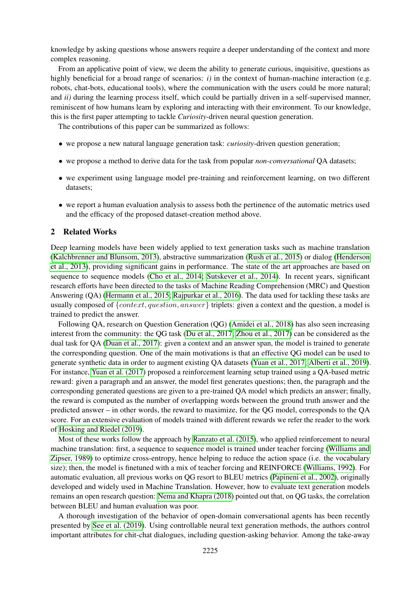knowledge by asking questions whose answers require a deeper understanding of the context and more complex reasoning.

From an applicative point of view, we deem the ability to generate curious, inquisitive, questions as highly beneficial for a broad range of scenarios: *i*) in the context of human-machine interaction (e.g. robots, chat-bots, educational tools), where the communication with the users could be more natural; and *ii)* during the learning process itself, which could be partially driven in a self-supervised manner, reminiscent of how humans learn by exploring and interacting with their environment. To our knowledge, this is the first paper attempting to tackle *Curiosity*-driven neural question generation.

The contributions of this paper can be summarized as follows:

- we propose a new natural language generation task: *curiosity*-driven question generation;
- we propose a method to derive data for the task from popular *non-conversational* QA datasets;
- we experiment using language model pre-training and reinforcement learning, on two different datasets;
- we report a human evaluation analysis to assess both the pertinence of the automatic metrics used and the efficacy of the proposed dataset-creation method above.

#### <span id="page-1-0"></span>2 Related Works

Deep learning models have been widely applied to text generation tasks such as machine translation [\(Kalchbrenner and Blunsom, 2013\)](#page-10-1), abstractive summarization [\(Rush et al., 2015\)](#page-10-2) or dialog [\(Henderson](#page-9-4) [et al., 2013\)](#page-9-4), providing significant gains in performance. The state of the art approaches are based on sequence to sequence models [\(Cho et al., 2014;](#page-9-5) [Sutskever et al., 2014\)](#page-10-3). In recent years, significant research efforts have been directed to the tasks of Machine Reading Comprehension (MRC) and Question Answering (QA) [\(Hermann et al., 2015;](#page-9-0) [Rajpurkar et al., 2016\)](#page-10-4). The data used for tackling these tasks are usually composed of  ${context, question, answer}$  triplets: given a context and the question, a model is trained to predict the answer.

Following QA, research on Question Generation (QG) [\(Amidei et al., 2018\)](#page-9-6) has also seen increasing interest from the community: the QG task [\(Du et al., 2017;](#page-9-7) [Zhou et al., 2017\)](#page-11-0) can be considered as the dual task for QA [\(Duan et al., 2017\)](#page-9-8): given a context and an answer span, the model is trained to generate the corresponding question. One of the main motivations is that an effective QG model can be used to generate synthetic data in order to augment existing QA datasets [\(Yuan et al., 2017;](#page-11-1) [Alberti et al., 2019\)](#page-9-9). For instance, [Yuan et al. \(2017\)](#page-11-1) proposed a reinforcement learning setup trained using a QA-based metric reward: given a paragraph and an answer, the model first generates questions; then, the paragraph and the corresponding generated questions are given to a pre-trained QA model which predicts an answer; finally, the reward is computed as the number of overlapping words between the ground truth answer and the predicted answer – in other words, the reward to maximize, for the QG model, corresponds to the QA score. For an extensive evaluation of models trained with different rewards we refer the reader to the work of [Hosking and Riedel \(2019\)](#page-9-10).

Most of these works follow the approach by [Ranzato et al. \(2015\)](#page-10-5), who applied reinforcement to neural machine translation: first, a sequence to sequence model is trained under teacher forcing [\(Williams and](#page-10-6) [Zipser, 1989\)](#page-10-6) to optimize cross-entropy, hence helping to reduce the action space (i.e. the vocabulary size); then, the model is finetuned with a mix of teacher forcing and REINFORCE [\(Williams, 1992\)](#page-11-2). For automatic evaluation, all previous works on QG resort to BLEU metrics [\(Papineni et al., 2002\)](#page-10-7), originally developed and widely used in Machine Translation. However, how to evaluate text generation models remains an open research question: [Nema and Khapra \(2018\)](#page-10-8) pointed out that, on QG tasks, the correlation between BLEU and human evaluation was poor.

A thorough investigation of the behavior of open-domain conversational agents has been recently presented by [See et al. \(2019\)](#page-10-9). Using controllable neural text generation methods, the authors control important attributes for chit-chat dialogues, including question-asking behavior. Among the take-away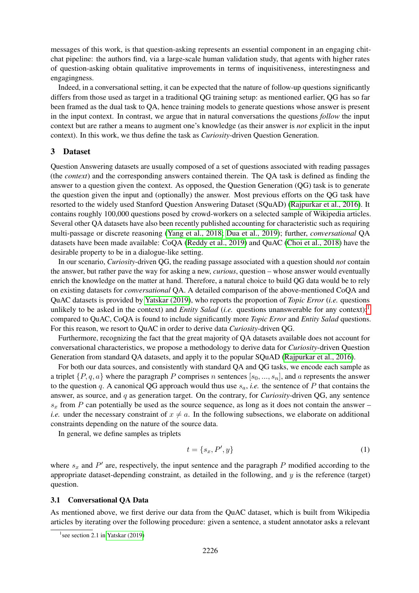messages of this work, is that question-asking represents an essential component in an engaging chitchat pipeline: the authors find, via a large-scale human validation study, that agents with higher rates of question-asking obtain qualitative improvements in terms of inquisitiveness, interestingness and engagingness.

Indeed, in a conversational setting, it can be expected that the nature of follow-up questions significantly differs from those used as target in a traditional QG training setup: as mentioned earlier, QG has so far been framed as the dual task to QA, hence training models to generate questions whose answer is present in the input context. In contrast, we argue that in natural conversations the questions *follow* the input context but are rather a means to augment one's knowledge (as their answer is *not* explicit in the input context). In this work, we thus define the task as *Curiosity*-driven Question Generation.

## 3 Dataset

Question Answering datasets are usually composed of a set of questions associated with reading passages (the *context*) and the corresponding answers contained therein. The QA task is defined as finding the answer to a question given the context. As opposed, the Question Generation (QG) task is to generate the question given the input and (optionally) the answer. Most previous efforts on the QG task have resorted to the widely used Stanford Question Answering Dataset (SQuAD) [\(Rajpurkar et al., 2016\)](#page-10-4). It contains roughly 100,000 questions posed by crowd-workers on a selected sample of Wikipedia articles. Several other QA datasets have also been recently published accounting for characteristic such as requiring multi-passage or discrete reasoning [\(Yang et al., 2018;](#page-11-3) [Dua et al., 2019\)](#page-9-11); further, *conversational* QA datasets have been made available: CoQA [\(Reddy et al., 2019\)](#page-10-10) and QuAC [\(Choi et al., 2018\)](#page-9-12) have the desirable property to be in a dialogue-like setting.

In our scenario, *Curiosity*-driven QG, the reading passage associated with a question should *not* contain the answer, but rather pave the way for asking a new, *curious*, question – whose answer would eventually enrich the knowledge on the matter at hand. Therefore, a natural choice to build QG data would be to rely on existing datasets for *conversational* QA. A detailed comparison of the above-mentioned CoQA and QuAC datasets is provided by [Yatskar \(2019\)](#page-11-4), who reports the proportion of *Topic Error* (*i.e.* questions unlikely to be asked in the context) and *Entity Salad* (*i.e.* questions unanswerable for any context): compared to QuAC, CoQA is found to include significantly more *Topic Error* and *Entity Salad* questions. For this reason, we resort to QuAC in order to derive data *Curiosity*-driven QG.

Furthermore, recognizing the fact that the great majority of QA datasets available does not account for conversational characteristics, we propose a methodology to derive data for *Curiosity*-driven Question Generation from standard QA datasets, and apply it to the popular SQuAD [\(Rajpurkar et al., 2016\)](#page-10-4).

For both our data sources, and consistently with standard QA and QG tasks, we encode each sample as a triplet  $\{P, q, a\}$  where the paragraph P comprises n sentences  $[s_0, ..., s_n]$ , and a represents the answer to the question q. A canonical QG approach would thus use  $s_a$ , *i.e.* the sentence of P that contains the answer, as source, and q as generation target. On the contrary, for *Curiosity*-driven QG, any sentence  $s_x$  from P can potentially be used as the source sequence, as long as it does not contain the answer – *i.e.* under the necessary constraint of  $x \neq a$ . In the following subsections, we elaborate on additional constraints depending on the nature of the source data.

In general, we define samples as triplets

<span id="page-2-1"></span>
$$
t = \{s_x, P', y\} \tag{1}
$$

where  $s_x$  and  $P'$  are, respectively, the input sentence and the paragraph P modified according to the appropriate dataset-depending constraint, as detailed in the following, and  $y$  is the reference (target) question.

#### 3.1 Conversational QA Data

As mentioned above, we first derive our data from the QuAC dataset, which is built from Wikipedia articles by iterating over the following procedure: given a sentence, a student annotator asks a relevant

<span id="page-2-0"></span><sup>&</sup>lt;sup>1</sup> see section 2.1 in [Yatskar \(2019\)](#page-11-4)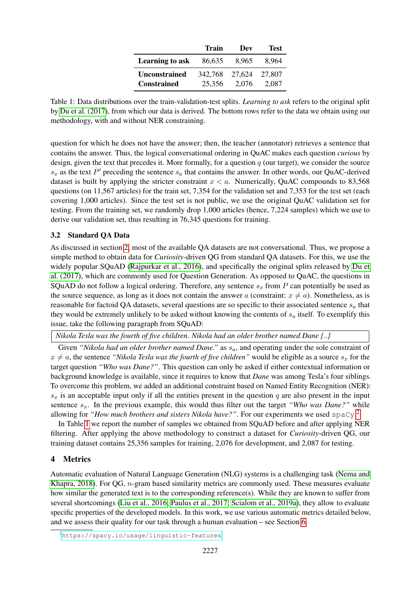|                                            | Train             | Dev             | Test.           |
|--------------------------------------------|-------------------|-----------------|-----------------|
| Learning to ask                            | 86,635            | 8.965           | 8.964           |
| <b>Unconstrained</b><br><b>Constrained</b> | 342.768<br>25.356 | 27,624<br>2.076 | 27.807<br>2.087 |

<span id="page-3-1"></span>Table 1: Data distributions over the train-validation-test splits. *Learning to ask* refers to the original split by [Du et al. \(2017\)](#page-9-7), from which our data is derived. The bottom rows refer to the data we obtain using our methodology, with and without NER constraining.

question for which he does not have the answer; then, the teacher (annotator) retrieves a sentence that contains the answer. Thus, the logical conversational ordering in QuAC makes each question *curious* by design, given the text that precedes it. More formally, for a question  $q$  (our target), we consider the source  $s_x$  as the text P' preceding the sentence  $s_a$  that contains the answer. In other words, our QuAC-derived dataset is built by applying the stricter constraint  $x < a$ . Numerically, QuAC compounds to 83,568 questions (on 11,567 articles) for the train set, 7,354 for the validation set and 7,353 for the test set (each covering 1,000 articles). Since the test set is not public, we use the original QuAC validation set for testing. From the training set, we randomly drop 1,000 articles (hence, 7,224 samples) which we use to derive our validation set, thus resulting in 76,345 questions for training.

## 3.2 Standard QA Data

As discussed in section [2,](#page-1-0) most of the available QA datasets are not conversational. Thus, we propose a simple method to obtain data for *Curiosity*-driven QG from standard QA datasets. For this, we use the widely popular SQuAD [\(Rajpurkar et al., 2016\)](#page-10-4), and specifically the original splits released by [Du et](#page-9-7) [al. \(2017\)](#page-9-7), which are commonly used for Question Generation. As opposed to QuAC, the questions in SQuAD do not follow a logical ordering. Therefore, any sentence  $s_x$  from P can potentially be used as the source sequence, as long as it does not contain the answer a (constraint:  $x \neq a$ ). Nonetheless, as is reasonable for factoid QA datasets, several questions are so specific to their associated sentence  $s_a$  that they would be extremely unlikely to be asked without knowing the contents of  $s_a$  itself. To exemplify this issue, take the following paragraph from SQuAD:

*Nikola Tesla was the fourth of five children. Nikola had an older brother named Dane [..]*

Given *"Nikola had an older brother named Dane."* as  $s_a$ , and operating under the sole constraint of  $x \neq a$ , the sentence *"Nikola Tesla was the fourth of five children"* would be eligible as a source  $s_x$  for the target question *"Who was Dane?"*. This question can only be asked if either contextual information or background knowledge is available, since it requires to know that *Dane* was among Tesla's four siblings. To overcome this problem, we added an additional constraint based on Named Entity Recognition (NER):  $s_x$  is an acceptable input only if all the entities present in the question q are also present in the input sentence  $s_x$ . In the previous example, this would thus filter out the target *"Who was Dane?"* while allowing for "How much brothers and sisters Nikola have?". For our experiments we used spaCy.<sup>[2](#page-3-0)</sup>

In Table [1](#page-3-1) we report the number of samples we obtained from SQuAD before and after applying NER filtering. After applying the above methodology to construct a dataset for *Curiosity*-driven QG, our training dataset contains 25,356 samples for training, 2,076 for development, and 2,087 for testing.

### 4 Metrics

Automatic evaluation of Natural Language Generation (NLG) systems is a challenging task [\(Nema and](#page-10-8) [Khapra, 2018\)](#page-10-8). For QG, n-gram based similarity metrics are commonly used. These measures evaluate how similar the generated text is to the corresponding reference(s). While they are known to suffer from several shortcomings [\(Liu et al., 2016;](#page-10-11) [Paulus et al., 2017;](#page-10-12) [Scialom et al., 2019a\)](#page-10-13), they allow to evaluate specific properties of the developed models. In this work, we use various automatic metrics detailed below, and we assess their quality for our task through a human evaluation – see Section [6.](#page-7-0)

<span id="page-3-0"></span><sup>2</sup><https://spacy.io/usage/linguistic-features>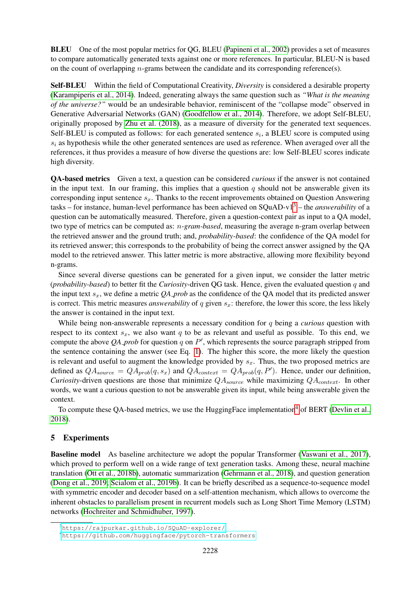BLEU One of the most popular metrics for QG, BLEU [\(Papineni et al., 2002\)](#page-10-7) provides a set of measures to compare automatically generated texts against one or more references. In particular, BLEU-N is based on the count of overlapping  $n$ -grams between the candidate and its corresponding reference(s).

Self-BLEU Within the field of Computational Creativity, *Diversity* is considered a desirable property [\(Karampiperis et al., 2014\)](#page-10-14). Indeed, generating always the same question such as *"What is the meaning of the universe?"* would be an undesirable behavior, reminiscent of the "collapse mode" observed in Generative Adversarial Networks (GAN) [\(Goodfellow et al., 2014\)](#page-9-13). Therefore, we adopt Self-BLEU, originally proposed by [Zhu et al. \(2018\)](#page-11-5), as a measure of diversity for the generated text sequences. Self-BLEU is computed as follows: for each generated sentence  $s_i$ , a BLEU score is computed using  $s_i$  as hypothesis while the other generated sentences are used as reference. When averaged over all the references, it thus provides a measure of how diverse the questions are: low Self-BLEU scores indicate high diversity.

QA-based metrics Given a text, a question can be considered *curious* if the answer is not contained in the input text. In our framing, this implies that a question  $q$  should not be answerable given its corresponding input sentence  $s_x$ . Thanks to the recent improvements obtained on Question Answering tasks – for instance, human-level performance has been achieved on SQuAD-v1[3](#page-4-0) – the *answerability* of a question can be automatically measured. Therefore, given a question-context pair as input to a QA model, two type of metrics can be computed as: n*-gram-based*, measuring the average n-gram overlap between the retrieved answer and the ground truth; and, *probability-based*: the confidence of the QA model for its retrieved answer; this corresponds to the probability of being the correct answer assigned by the QA model to the retrieved answer. This latter metric is more abstractive, allowing more flexibility beyond n-grams.

Since several diverse questions can be generated for a given input, we consider the latter metric (*probability-based*) to better fit the *Curiosity*-driven QG task. Hence, given the evaluated question q and the input text  $s_x$ , we define a metric *QA prob* as the confidence of the QA model that its predicted answer is correct. This metric measures *answerability* of q given  $s_x$ : therefore, the lower this score, the less likely the answer is contained in the input text.

While being non-answerable represents a necessary condition for q being a *curious* question with respect to its context  $s_x$ , we also want q to be as relevant and useful as possible. To this end, we compute the above  $QA$ -prob for question  $q$  on  $P'$ , which represents the source paragraph stripped from the sentence containing the answer (see Eq. [1\)](#page-2-1). The higher this score, the more likely the question is relevant and useful to augment the knowledge provided by  $s_x$ . Thus, the two proposed metrics are defined as  $QA_{source} = QA_{prob}(q, s_x)$  and  $QA_{context} = QA_{prob}(q, P')$ . Hence, under our definition, *Curiosity*-driven questions are those that minimize  $QA_{source}$  while maximizing  $QA_{context}$ . In other words, we want a curious question to not be answerable given its input, while being answerable given the context.

To compute these QA-based metrics, we use the HuggingFace implementation<sup>[4](#page-4-1)</sup> of BERT [\(Devlin et al.,](#page-9-14) [2018\)](#page-9-14).

### 5 Experiments

Baseline model As baseline architecture we adopt the popular Transformer [\(Vaswani et al., 2017\)](#page-10-15), which proved to perform well on a wide range of text generation tasks. Among these, neural machine translation [\(Ott et al., 2018b\)](#page-10-16), automatic summarization [\(Gehrmann et al., 2018\)](#page-9-15), and question generation [\(Dong et al., 2019;](#page-9-16) [Scialom et al., 2019b\)](#page-10-17). It can be briefly described as a sequence-to-sequence model with symmetric encoder and decoder based on a self-attention mechanism, which allows to overcome the inherent obstacles to parallelism present in recurrent models such as Long Short Time Memory (LSTM) networks [\(Hochreiter and Schmidhuber, 1997\)](#page-9-17).

<span id="page-4-0"></span><sup>3</sup><https://rajpurkar.github.io/SQuAD-explorer/>

<span id="page-4-1"></span><sup>4</sup><https://github.com/huggingface/pytorch-transformers>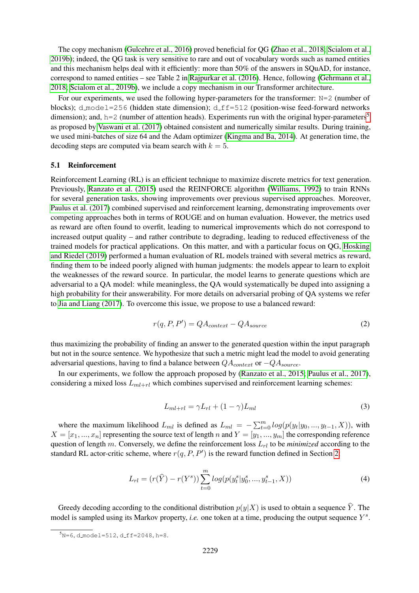The copy mechanism [\(Gulcehre et al., 2016\)](#page-9-18) proved beneficial for QG [\(Zhao et al., 2018;](#page-11-6) [Scialom et al.,](#page-10-17) [2019b\)](#page-10-17); indeed, the QG task is very sensitive to rare and out of vocabulary words such as named entities and this mechanism helps deal with it efficiently: more than 50% of the answers in SQuAD, for instance, correspond to named entities – see Table 2 in [Rajpurkar et al. \(2016\)](#page-10-4). Hence, following [\(Gehrmann et al.,](#page-9-15) [2018;](#page-9-15) [Scialom et al., 2019b\)](#page-10-17), we include a copy mechanism in our Transformer architecture.

For our experiments, we used the following hyper-parameters for the transformer:  $N=2$  (number of blocks); d\_model=256 (hidden state dimension); d\_f  $f=512$  (position-wise feed-forward networks dimension); and, h=2 (number of attention heads). Experiments run with the original hyper-parameters<sup>[5](#page-5-0)</sup> as proposed by [Vaswani et al. \(2017\)](#page-10-15) obtained consistent and numerically similar results. During training, we used mini-batches of size 64 and the Adam optimizer [\(Kingma and Ba, 2014\)](#page-10-18). At generation time, the decoding steps are computed via beam search with  $k = 5$ .

#### 5.1 Reinforcement

Reinforcement Learning (RL) is an efficient technique to maximize discrete metrics for text generation. Previously, [Ranzato et al. \(2015\)](#page-10-5) used the REINFORCE algorithm [\(Williams, 1992\)](#page-11-2) to train RNNs for several generation tasks, showing improvements over previous supervised approaches. Moreover, [Paulus et al. \(2017\)](#page-10-12) combined supervised and reinforcement learning, demonstrating improvements over competing approaches both in terms of ROUGE and on human evaluation. However, the metrics used as reward are often found to overfit, leading to numerical improvements which do not correspond to increased output quality – and rather contribute to degrading, leading to reduced effectiveness of the trained models for practical applications. On this matter, and with a particular focus on QG, [Hosking](#page-9-10) [and Riedel \(2019\)](#page-9-10) performed a human evaluation of RL models trained with several metrics as reward, finding them to be indeed poorly aligned with human judgments: the models appear to learn to exploit the weaknesses of the reward source. In particular, the model learns to generate questions which are adversarial to a QA model: while meaningless, the QA would systematically be duped into assigning a high probability for their answerability. For more details on adversarial probing of QA systems we refer to [Jia and Liang \(2017\)](#page-9-19). To overcome this issue, we propose to use a balanced reward:

<span id="page-5-1"></span>
$$
r(q, P, P') = QA_{context} - QA_{source}
$$
\n(2)

thus maximizing the probability of finding an answer to the generated question within the input paragraph but not in the source sentence. We hypothesize that such a metric might lead the model to avoid generating adversarial questions, having to find a balance between  $QA_{context}$  or  $-QA_{source}$ .

In our experiments, we follow the approach proposed by [\(Ranzato et al., 2015;](#page-10-5) [Paulus et al., 2017\)](#page-10-12), considering a mixed loss  $L_{ml+rl}$  which combines supervised and reinforcement learning schemes:

$$
L_{ml+rl} = \gamma L_{rl} + (1 - \gamma)L_{ml} \tag{3}
$$

where the maximum likelihood  $L_{ml}$  is defined as  $L_{ml} = -\sum_{t=0}^{m} log(p(y_t|y_0, ..., y_{t-1}, X))$ , with  $X = [x_1, ..., x_n]$  representing the source text of length n and  $Y = [y_1, ..., y_m]$  the corresponding reference question of length m. Conversely, we define the reinforcement loss  $L<sub>rl</sub>$  to be *minimized* according to the standard RL actor-critic scheme, where  $r(q, P, P')$  is the reward function defined in Section [2:](#page-5-1)

$$
L_{rl} = (r(\hat{Y}) - r(Y^s)) \sum_{t=0}^{m} log(p(y_t^s | y_0^s, ..., y_{t-1}^s, X))
$$
\n(4)

Greedy decoding according to the conditional distribution  $p(y|X)$  is used to obtain a sequence Y. The model is sampled using its Markov property, *i.e.* one token at a time, producing the output sequence  $Y^s$ .

<span id="page-5-0"></span> $5N=6$ , d\_model=512, d\_ff=2048, h=8.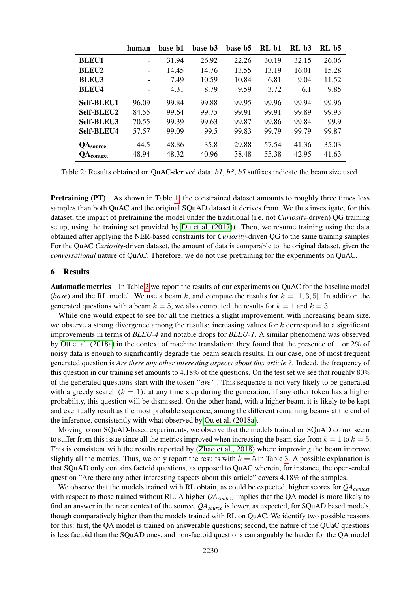|                   | human | base_b1 | base_b3 | base_b5 | $RL_b1$ | $RL_b3$ | $RL_b5$ |
|-------------------|-------|---------|---------|---------|---------|---------|---------|
| <b>BLEU1</b>      |       | 31.94   | 26.92   | 22.26   | 30.19   | 32.15   | 26.06   |
| <b>BLEU2</b>      |       | 14.45   | 14.76   | 13.55   | 13.19   | 16.01   | 15.28   |
| <b>BLEU3</b>      |       | 7.49    | 10.59   | 10.84   | 6.81    | 9.04    | 11.52   |
| <b>BLEU4</b>      |       | 4.31    | 8.79    | 9.59    | 3.72    | 6.1     | 9.85    |
| <b>Self-BLEU1</b> | 96.09 | 99.84   | 99.88   | 99.95   | 99.96   | 99.94   | 99.96   |
| Self-BLEU2        | 84.55 | 99.64   | 99.75   | 99.91   | 99.91   | 99.89   | 99.93   |
| Self-BLEU3        | 70.55 | 99.39   | 99.63   | 99.87   | 99.86   | 99.84   | 99.9    |
| Self-BLEU4        | 57.57 | 99.09   | 99.5    | 99.83   | 99.79   | 99.79   | 99.87   |
| $QA_{source}$     | 44.5  | 48.86   | 35.8    | 29.88   | 57.54   | 41.36   | 35.03   |
| <b>QA</b> context | 48.94 | 48.32   | 40.96   | 38.48   | 55.38   | 42.95   | 41.63   |

<span id="page-6-0"></span>Table 2: Results obtained on QuAC-derived data. *b1*, *b3*, *b5* suffixes indicate the beam size used.

**Pretraining (PT)** As shown in Table [1,](#page-3-1) the constrained dataset amounts to roughly three times less samples than both QuAC and the original SQuAD dataset it derives from. We thus investigate, for this dataset, the impact of pretraining the model under the traditional (i.e. not *Curiosity*-driven) QG training setup, using the training set provided by [Du et al. \(2017\)](#page-9-7)). Then, we resume training using the data obtained after applying the NER-based constraints for *Curiosity*-driven QG to the same training samples. For the QuAC *Curiosity*-driven dataset, the amount of data is comparable to the original dataset, given the *conversational* nature of QuAC. Therefore, we do not use pretraining for the experiments on QuAC.

#### 6 Results

Automatic metrics In Table [2](#page-6-0) we report the results of our experiments on QuAC for the baseline model (*base*) and the RL model. We use a beam k, and compute the results for  $k = [1, 3, 5]$ . In addition the generated questions with a beam  $k = 5$ , we also computed the results for  $k = 1$  and  $k = 3$ .

While one would expect to see for all the metrics a slight improvement, with increasing beam size, we observe a strong divergence among the results: increasing values for  $k$  correspond to a significant improvements in terms of *BLEU-4* and notable drops for *BLEU-1*. A similar phenomena was observed by [Ott et al. \(2018a\)](#page-10-19) in the context of machine translation: they found that the presence of 1 or 2% of noisy data is enough to significantly degrade the beam search results. In our case, one of most frequent generated question is *Are there any other interesting aspects about this article ?*. Indeed, the frequency of this question in our training set amounts to 4.18% of the questions. On the test set we see that roughly 80% of the generated questions start with the token *"are"* . This sequence is not very likely to be generated with a greedy search  $(k = 1)$ : at any time step during the generation, if any other token has a higher probability, this question will be dismissed. On the other hand, with a higher beam, it is likely to be kept and eventually result as the most probable sequence, among the different remaining beams at the end of the inference, consistently with what observed by [Ott et al. \(2018a\)](#page-10-19).

Moving to our SQuAD-based experiments, we observe that the models trained on SQuAD do not seem to suffer from this issue since all the metrics improved when increasing the beam size from  $k = 1$  to  $k = 5$ . This is consistent with the results reported by [\(Zhao et al., 2018\)](#page-11-6) where improving the beam improve slightly all the metrics. Thus, we only report the results with  $k = 5$  in Table [3.](#page-7-1) A possible explanation is that SQuAD only contains factoid questions, as opposed to QuAC wherein, for instance, the open-ended question "Are there any other interesting aspects about this article" covers 4.18% of the samples.

We observe that the models trained with RL obtain, as could be expected, higher scores for *QAcontext* with respect to those trained without RL. A higher *QAcontext* implies that the QA model is more likely to find an answer in the near context of the source. *QAsource* is lower, as expected, for SQuAD based models, though comparatively higher than the models trained with RL on QuAC. We identify two possible reasons for this: first, the QA model is trained on answerable questions; second, the nature of the QUaC questions is less factoid than the SQuAD ones, and non-factoid questions can arguably be harder for the QA model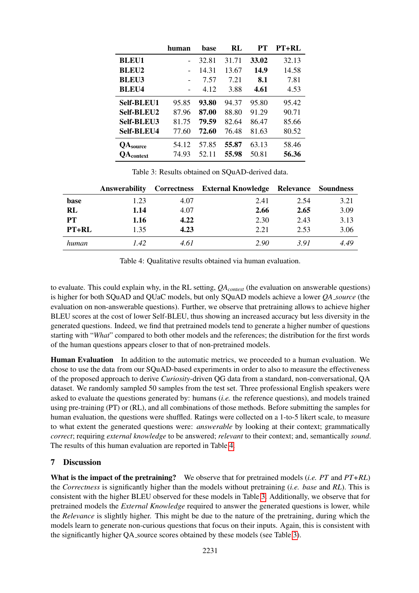|                   | human | base  | RL    | PТ    | <b>PT+RL</b> |
|-------------------|-------|-------|-------|-------|--------------|
| <b>BLEU1</b>      |       | 32.81 | 31.71 | 33.02 | 32.13        |
| <b>BLEU2</b>      |       | 14.31 | 13.67 | 14.9  | 14.58        |
| <b>BLEU3</b>      |       | 7.57  | 7.21  | 8.1   | 7.81         |
| <b>BLEU4</b>      |       | 4.12  | 3.88  | 4.61  | 4.53         |
| <b>Self-BLEU1</b> | 95.85 | 93.80 | 94.37 | 95.80 | 95.42        |
| <b>Self-BLEU2</b> | 87.96 | 87.00 | 88.80 | 91.29 | 90.71        |
| Self-BLEU3        | 81.75 | 79.59 | 82.64 | 86.47 | 85.66        |
| <b>Self-BLEU4</b> | 77.60 | 72.60 | 76.48 | 81.63 | 80.52        |
| <b>QA</b> source  | 54.12 | 57.85 | 55.87 | 63.13 | 58.46        |
| <b>OA</b> context | 74.93 | 52.11 | 55.98 | 50.81 | 56.36        |

<span id="page-7-1"></span>Table 3: Results obtained on SQuAD-derived data.

|           | Answerability |      | Correctness External Knowledge Relevance Soundness |      |      |
|-----------|---------------|------|----------------------------------------------------|------|------|
| base      | 1.23          | 4.07 | 2.41                                               | 2.54 | 3.21 |
| RL        | 1.14          | 4.07 | 2.66                                               | 2.65 | 3.09 |
| <b>PT</b> | 1.16          | 4.22 | 2.30                                               | 2.43 | 3.13 |
| PT+RL     | 1.35          | 4.23 | 2.21                                               | 2.53 | 3.06 |
| human     | 1.42          | 4.61 | 2.90                                               | 3.91 | 4.49 |

<span id="page-7-2"></span>Table 4: Qualitative results obtained via human evaluation.

to evaluate. This could explain why, in the RL setting, *QAcontext* (the evaluation on answerable questions) is higher for both SQuAD and QUaC models, but only SQuAD models achieve a lower *QA source* (the evaluation on non-answerable questions). Further, we observe that pretraining allows to achieve higher BLEU scores at the cost of lower Self-BLEU, thus showing an increased accuracy but less diversity in the generated questions. Indeed, we find that pretrained models tend to generate a higher number of questions starting with "*What*" compared to both other models and the references; the distribution for the first words of the human questions appears closer to that of non-pretrained models.

<span id="page-7-0"></span>Human Evaluation In addition to the automatic metrics, we proceeded to a human evaluation. We chose to use the data from our SQuAD-based experiments in order to also to measure the effectiveness of the proposed approach to derive *Curiosity*-driven QG data from a standard, non-conversational, QA dataset. We randomly sampled 50 samples from the test set. Three professional English speakers were asked to evaluate the questions generated by: humans (*i.e.* the reference questions), and models trained using pre-training (PT) or (RL), and all combinations of those methods. Before submitting the samples for human evaluation, the questions were shuffled. Ratings were collected on a 1-to-5 likert scale, to measure to what extent the generated questions were: *answerable* by looking at their context; grammatically *correct*; requiring *external knowledge* to be answered; *relevant* to their context; and, semantically *sound*. The results of this human evaluation are reported in Table [4.](#page-7-2)

## 7 Discussion

What is the impact of the pretraining? We observe that for pretrained models (*i.e. PT* and *PT+RL*) the *Correctness* is significantly higher than the models without pretraining (*i.e. base* and *RL*). This is consistent with the higher BLEU observed for these models in Table [3.](#page-7-1) Additionally, we observe that for pretrained models the *External Knowledge* required to answer the generated questions is lower, while the *Relevance* is slightly higher. This might be due to the nature of the pretraining, during which the models learn to generate non-curious questions that focus on their inputs. Again, this is consistent with the significantly higher QA source scores obtained by these models (see Table [3\)](#page-7-1).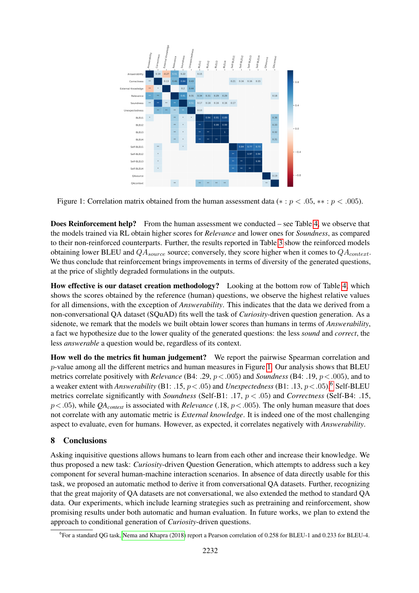

<span id="page-8-0"></span>Figure 1: Correlation matrix obtained from the human assessment data ( $* : p < .05, ** : p < .005$ ).

Does Reinforcement help? From the human assessment we conducted – see Table [4,](#page-7-2) we observe that the models trained via RL obtain higher scores for *Relevance* and lower ones for *Soundness*, as compared to their non-reinforced counterparts. Further, the results reported in Table [3](#page-7-1) show the reinforced models obtaining lower BLEU and  $QA_{source}$  source; conversely, they score higher when it comes to  $QA_{context}$ . We thus conclude that reinforcement brings improvements in terms of diversity of the generated questions, at the price of slightly degraded formulations in the outputs.

How effective is our dataset creation methodology? Looking at the bottom row of Table [4,](#page-7-2) which shows the scores obtained by the reference (human) questions, we observe the highest relative values for all dimensions, with the exception of *Answerability*. This indicates that the data we derived from a non-conversational QA dataset (SQuAD) fits well the task of *Curiosity*-driven question generation. As a sidenote, we remark that the models we built obtain lower scores than humans in terms of *Answerability*, a fact we hypothesize due to the lower quality of the generated questions: the less *sound* and *correct*, the less *answerable* a question would be, regardless of its context.

How well do the metrics fit human judgement? We report the pairwise Spearman correlation and  $p$ -value among all the different metrics and human measures in Figure [1.](#page-8-0) Our analysis shows that BLEU metrics correlate positively with *Relevance* (B4: .29, p<.005) and *Soundness* (B4: .19, p<.005), and to a weaker extent with *Answerability* (B1: .15, p<.05) and *Unexpectedness* (B1: .13, p<.05).[6](#page-8-1) Self-BLEU metrics correlate significantly with *Soundness* (Self-B1: .17, p < .05) and *Correctness* (Self-B4: .15,  $p < .05$ ), while *QA*<sub>context</sub> is associated with *Relevance* (.18,  $p < .005$ ). The only human measure that does not correlate with any automatic metric is *External knowledge*. It is indeed one of the most challenging aspect to evaluate, even for humans. However, as expected, it correlates negatively with *Answerability*.

## 8 Conclusions

Asking inquisitive questions allows humans to learn from each other and increase their knowledge. We thus proposed a new task: *Curiosity*-driven Question Generation, which attempts to address such a key component for several human-machine interaction scenarios. In absence of data directly usable for this task, we proposed an automatic method to derive it from conversational QA datasets. Further, recognizing that the great majority of QA datasets are not conversational, we also extended the method to standard QA data. Our experiments, which include learning strategies such as pretraining and reinforcement, show promising results under both automatic and human evaluation. In future works, we plan to extend the approach to conditional generation of *Curiosity*-driven questions.

<span id="page-8-1"></span><sup>6</sup> For a standard QG task, [Nema and Khapra \(2018\)](#page-10-8) report a Pearson correlation of 0.258 for BLEU-1 and 0.233 for BLEU-4.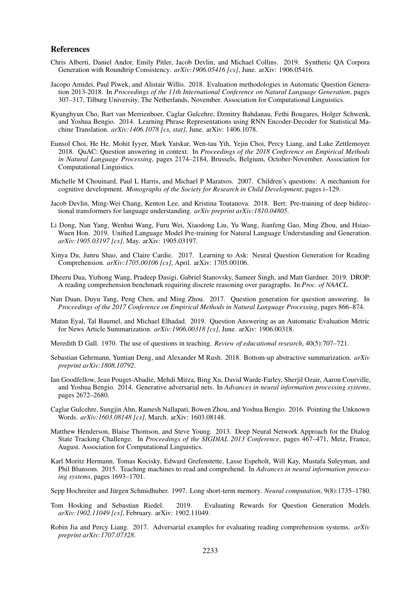#### References

- <span id="page-9-9"></span>Chris Alberti, Daniel Andor, Emily Pitler, Jacob Devlin, and Michael Collins. 2019. Synthetic QA Corpora Generation with Roundtrip Consistency. *arXiv:1906.05416 [cs]*, June. arXiv: 1906.05416.
- <span id="page-9-6"></span>Jacopo Amidei, Paul Piwek, and Alistair Willis. 2018. Evaluation methodologies in Automatic Question Generation 2013-2018. In *Proceedings of the 11th International Conference on Natural Language Generation*, pages 307–317, Tilburg University, The Netherlands, November. Association for Computational Linguistics.
- <span id="page-9-5"></span>Kyunghyun Cho, Bart van Merrienboer, Caglar Gulcehre, Dzmitry Bahdanau, Fethi Bougares, Holger Schwenk, and Yoshua Bengio. 2014. Learning Phrase Representations using RNN Encoder-Decoder for Statistical Machine Translation. *arXiv:1406.1078 [cs, stat]*, June. arXiv: 1406.1078.
- <span id="page-9-12"></span>Eunsol Choi, He He, Mohit Iyyer, Mark Yatskar, Wen-tau Yih, Yejin Choi, Percy Liang, and Luke Zettlemoyer. 2018. QuAC: Question answering in context. In *Proceedings of the 2018 Conference on Empirical Methods in Natural Language Processing*, pages 2174–2184, Brussels, Belgium, October-November. Association for Computational Linguistics.
- <span id="page-9-3"></span>Michelle M Chouinard, Paul L Harris, and Michael P Maratsos. 2007. Children's questions: A mechanism for cognitive development. *Monographs of the Society for Research in Child Development*, pages i–129.
- <span id="page-9-14"></span>Jacob Devlin, Ming-Wei Chang, Kenton Lee, and Kristina Toutanova. 2018. Bert: Pre-training of deep bidirectional transformers for language understanding. *arXiv preprint arXiv:1810.04805*.
- <span id="page-9-16"></span>Li Dong, Nan Yang, Wenhui Wang, Furu Wei, Xiaodong Liu, Yu Wang, Jianfeng Gao, Ming Zhou, and Hsiao-Wuen Hon. 2019. Unified Language Model Pre-training for Natural Language Understanding and Generation. *arXiv:1905.03197 [cs]*, May. arXiv: 1905.03197.
- <span id="page-9-7"></span>Xinya Du, Junru Shao, and Claire Cardie. 2017. Learning to Ask: Neural Question Generation for Reading Comprehension. *arXiv:1705.00106 [cs]*, April. arXiv: 1705.00106.
- <span id="page-9-11"></span>Dheeru Dua, Yizhong Wang, Pradeep Dasigi, Gabriel Stanovsky, Sameer Singh, and Matt Gardner. 2019. DROP: A reading comprehension benchmark requiring discrete reasoning over paragraphs. In *Proc. of NAACL*.
- <span id="page-9-8"></span>Nan Duan, Duyu Tang, Peng Chen, and Ming Zhou. 2017. Question generation for question answering. In *Proceedings of the 2017 Conference on Empirical Methods in Natural Language Processing*, pages 866–874.
- <span id="page-9-1"></span>Matan Eyal, Tal Baumel, and Michael Elhadad. 2019. Question Answering as an Automatic Evaluation Metric for News Article Summarization. *arXiv:1906.00318 [cs]*, June. arXiv: 1906.00318.
- <span id="page-9-2"></span>Meredith D Gall. 1970. The use of questions in teaching. *Review of educational research*, 40(5):707–721.
- <span id="page-9-15"></span>Sebastian Gehrmann, Yuntian Deng, and Alexander M Rush. 2018. Bottom-up abstractive summarization. *arXiv preprint arXiv:1808.10792*.
- <span id="page-9-13"></span>Ian Goodfellow, Jean Pouget-Abadie, Mehdi Mirza, Bing Xu, David Warde-Farley, Sherjil Ozair, Aaron Courville, and Yoshua Bengio. 2014. Generative adversarial nets. In *Advances in neural information processing systems*, pages 2672–2680.
- <span id="page-9-18"></span>Caglar Gulcehre, Sungjin Ahn, Ramesh Nallapati, Bowen Zhou, and Yoshua Bengio. 2016. Pointing the Unknown Words. *arXiv:1603.08148 [cs]*, March. arXiv: 1603.08148.
- <span id="page-9-4"></span>Matthew Henderson, Blaise Thomson, and Steve Young. 2013. Deep Neural Network Approach for the Dialog State Tracking Challenge. In *Proceedings of the SIGDIAL 2013 Conference*, pages 467–471, Metz, France, August. Association for Computational Linguistics.
- <span id="page-9-0"></span>Karl Moritz Hermann, Tomas Kocisky, Edward Grefenstette, Lasse Espeholt, Will Kay, Mustafa Suleyman, and Phil Blunsom. 2015. Teaching machines to read and comprehend. In *Advances in neural information processing systems*, pages 1693–1701.
- <span id="page-9-17"></span>Sepp Hochreiter and Jürgen Schmidhuber. 1997. Long short-term memory. *Neural computation*, 9(8):1735–1780.
- <span id="page-9-10"></span>Tom Hosking and Sebastian Riedel. 2019. Evaluating Rewards for Question Generation Models. *arXiv:1902.11049 [cs]*, February. arXiv: 1902.11049.
- <span id="page-9-19"></span>Robin Jia and Percy Liang. 2017. Adversarial examples for evaluating reading comprehension systems. *arXiv preprint arXiv:1707.07328*.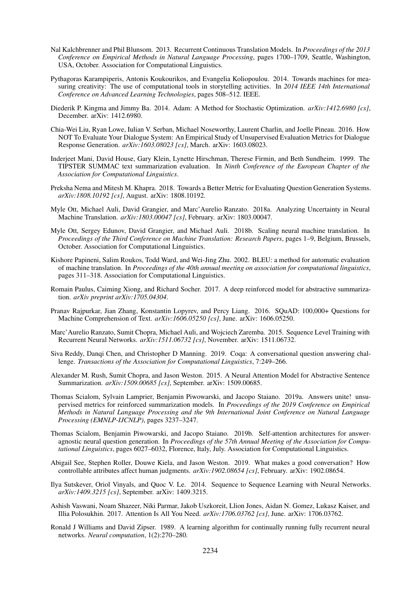- <span id="page-10-1"></span>Nal Kalchbrenner and Phil Blunsom. 2013. Recurrent Continuous Translation Models. In *Proceedings of the 2013 Conference on Empirical Methods in Natural Language Processing*, pages 1700–1709, Seattle, Washington, USA, October. Association for Computational Linguistics.
- <span id="page-10-14"></span>Pythagoras Karampiperis, Antonis Koukourikos, and Evangelia Koliopoulou. 2014. Towards machines for measuring creativity: The use of computational tools in storytelling activities. In *2014 IEEE 14th International Conference on Advanced Learning Technologies*, pages 508–512. IEEE.
- <span id="page-10-18"></span>Diederik P. Kingma and Jimmy Ba. 2014. Adam: A Method for Stochastic Optimization. *arXiv:1412.6980 [cs]*, December. arXiv: 1412.6980.
- <span id="page-10-11"></span>Chia-Wei Liu, Ryan Lowe, Iulian V. Serban, Michael Noseworthy, Laurent Charlin, and Joelle Pineau. 2016. How NOT To Evaluate Your Dialogue System: An Empirical Study of Unsupervised Evaluation Metrics for Dialogue Response Generation. *arXiv:1603.08023 [cs]*, March. arXiv: 1603.08023.
- <span id="page-10-0"></span>Inderjeet Mani, David House, Gary Klein, Lynette Hirschman, Therese Firmin, and Beth Sundheim. 1999. The TIPSTER SUMMAC text summarization evaluation. In *Ninth Conference of the European Chapter of the Association for Computational Linguistics*.
- <span id="page-10-8"></span>Preksha Nema and Mitesh M. Khapra. 2018. Towards a Better Metric for Evaluating Question Generation Systems. *arXiv:1808.10192 [cs]*, August. arXiv: 1808.10192.
- <span id="page-10-19"></span>Myle Ott, Michael Auli, David Grangier, and Marc'Aurelio Ranzato. 2018a. Analyzing Uncertainty in Neural Machine Translation. *arXiv:1803.00047 [cs]*, February. arXiv: 1803.00047.
- <span id="page-10-16"></span>Myle Ott, Sergey Edunov, David Grangier, and Michael Auli. 2018b. Scaling neural machine translation. In *Proceedings of the Third Conference on Machine Translation: Research Papers*, pages 1–9, Belgium, Brussels, October. Association for Computational Linguistics.
- <span id="page-10-7"></span>Kishore Papineni, Salim Roukos, Todd Ward, and Wei-Jing Zhu. 2002. BLEU: a method for automatic evaluation of machine translation. In *Proceedings of the 40th annual meeting on association for computational linguistics*, pages 311–318. Association for Computational Linguistics.
- <span id="page-10-12"></span>Romain Paulus, Caiming Xiong, and Richard Socher. 2017. A deep reinforced model for abstractive summarization. *arXiv preprint arXiv:1705.04304*.
- <span id="page-10-4"></span>Pranav Rajpurkar, Jian Zhang, Konstantin Lopyrev, and Percy Liang. 2016. SQuAD: 100,000+ Questions for Machine Comprehension of Text. *arXiv:1606.05250 [cs]*, June. arXiv: 1606.05250.
- <span id="page-10-5"></span>Marc'Aurelio Ranzato, Sumit Chopra, Michael Auli, and Wojciech Zaremba. 2015. Sequence Level Training with Recurrent Neural Networks. *arXiv:1511.06732 [cs]*, November. arXiv: 1511.06732.
- <span id="page-10-10"></span>Siva Reddy, Danqi Chen, and Christopher D Manning. 2019. Coqa: A conversational question answering challenge. *Transactions of the Association for Computational Linguistics*, 7:249–266.
- <span id="page-10-2"></span>Alexander M. Rush, Sumit Chopra, and Jason Weston. 2015. A Neural Attention Model for Abstractive Sentence Summarization. *arXiv:1509.00685 [cs]*, September. arXiv: 1509.00685.
- <span id="page-10-13"></span>Thomas Scialom, Sylvain Lamprier, Benjamin Piwowarski, and Jacopo Staiano. 2019a. Answers unite! unsupervised metrics for reinforced summarization models. In *Proceedings of the 2019 Conference on Empirical Methods in Natural Language Processing and the 9th International Joint Conference on Natural Language Processing (EMNLP-IJCNLP)*, pages 3237–3247.
- <span id="page-10-17"></span>Thomas Scialom, Benjamin Piwowarski, and Jacopo Staiano. 2019b. Self-attention architectures for answeragnostic neural question generation. In *Proceedings of the 57th Annual Meeting of the Association for Computational Linguistics*, pages 6027–6032, Florence, Italy, July. Association for Computational Linguistics.
- <span id="page-10-9"></span>Abigail See, Stephen Roller, Douwe Kiela, and Jason Weston. 2019. What makes a good conversation? How controllable attributes affect human judgments. *arXiv:1902.08654 [cs]*, February. arXiv: 1902.08654.
- <span id="page-10-3"></span>Ilya Sutskever, Oriol Vinyals, and Quoc V. Le. 2014. Sequence to Sequence Learning with Neural Networks. *arXiv:1409.3215 [cs]*, September. arXiv: 1409.3215.
- <span id="page-10-15"></span>Ashish Vaswani, Noam Shazeer, Niki Parmar, Jakob Uszkoreit, Llion Jones, Aidan N. Gomez, Lukasz Kaiser, and Illia Polosukhin. 2017. Attention Is All You Need. *arXiv:1706.03762 [cs]*, June. arXiv: 1706.03762.
- <span id="page-10-6"></span>Ronald J Williams and David Zipser. 1989. A learning algorithm for continually running fully recurrent neural networks. *Neural computation*, 1(2):270–280.